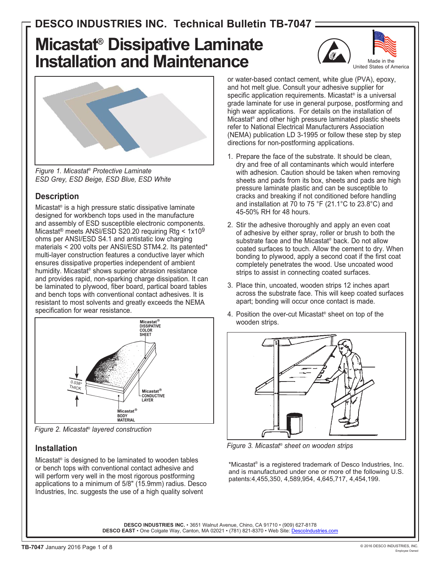# **Micastat® Dissipative Laminate Installation and Maintenance**





*Figure 1. Micastat® Protective Laminate ESD Grey, ESD Beige, ESD Blue, ESD White*

#### **Description**

Micastat® is a high pressure static dissipative laminate designed for workbench tops used in the manufacture and assembly of ESD susceptible electronic components. Micastat® meets ANSI/ESD S20.20 requiring Rtg < 1x109 ohms per ANSI/ESD S4.1 and antistatic low charging materials < 200 volts per ANSI/ESD STM4.2. Its patented\* multi-layer construction features a conductive layer which ensures dissipative properties independent of ambient humidity. Micastat® shows superior abrasion resistance and provides rapid, non-sparking charge dissipation. It can be laminated to plywood, fiber board, partical board tables and bench tops with conventional contact adhesives. It is resistant to most solvents and greatly exceeds the NEMA specification for wear resistance.



*Figure 2. Micastat® layered construction*

#### **Installation**

Micastat® is designed to be laminated to wooden tables or bench tops with conventional contact adhesive and will perform very well in the most rigorous postforming applications to a minimum of 5/8" (15.9mm) radius. Desco Industries, Inc. suggests the use of a high quality solvent

or water-based contact cement, white glue (PVA), epoxy, and hot melt glue. Consult your adhesive supplier for specific application requirements. Micastat<sup>®</sup> is a universal grade laminate for use in general purpose, postforming and high wear applications. For details on the installation of Micastat® and other high pressure laminated plastic sheets refer to National Electrical Manufacturers Association (NEMA) publication LD 3-1995 or follow these step by step directions for non-postforming applications.

- 1. Prepare the face of the substrate. It should be clean, dry and free of all contaminants which would interfere with adhesion. Caution should be taken when removing sheets and pads from its box, sheets and pads are high pressure laminate plastic and can be susceptible to cracks and breaking if not conditioned before handling and installation at 70 to 75 °F (21.1°C to 23.8°C) and 45-50% RH for 48 hours.
- 2. Stir the adhesive thoroughly and apply an even coat of adhesive by either spray, roller or brush to both the substrate face and the Micastat® back. Do not allow coated surfaces to touch. Allow the cement to dry. When bonding to plywood, apply a second coat if the first coat completely penetrates the wood. Use uncoated wood strips to assist in connecting coated surfaces.
- 3. Place thin, uncoated, wooden strips 12 inches apart across the substrate face. This will keep coated surfaces apart; bonding will occur once contact is made.
- 4. Position the over-cut Micastat® sheet on top of the wooden strips.



*Figure 3. Micastat® sheet on wooden strips*

\*Micastat® is a registered trademark of Desco Industries, Inc. and is manufactured under one or more of the following U.S. patents:4,455,350, 4,589,954, 4,645,717, 4,454,199.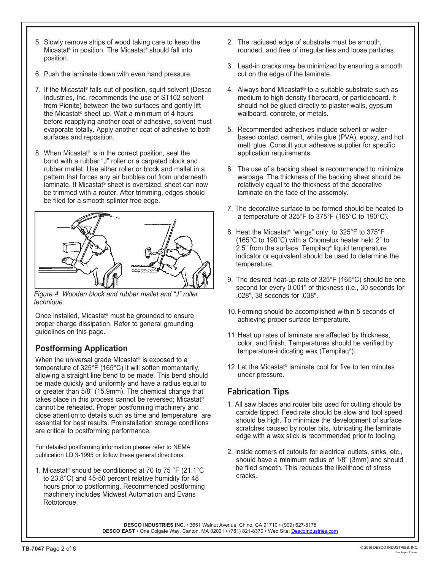- 5. Slowly remove strips of wood taking care to keep the Micastat® in position. The Micastat® should fall into position.
- 6. Push the laminate down with even hand pressure.
- 7. If the Micastat® falls out of position, squirt solvent (Desco Industries, Inc. recommends the use of ST102 solvent from Pionite) between the two surfaces and gently lift the Micastat® sheet up. Wait a minimum of 4 hours before reapplying another coat of adhesive, solvent must evaporate totally. Apply another coat of adhesive to both surfaces and reposition.
- 8. When Micastat® is in the correct position, seal the bond with a rubber "J" roller or a carpeted block and rubber mallet. Use either roller or block and mallet in a pattern that forces any air bubbles out from underneath laminate. If Micastat® sheet is oversized, sheet can now be trimmed with a router. After trimming, edges should be filed for a smooth splinter free edge.



*Figure 4. Wooden block and rubber mallet and "J" roller technique.*

Once installed, Micastat® must be grounded to ensure proper charge dissipation. Refer to general grounding guidelines on this page.

#### **Postforming Application**

When the universal grade Micastat<sup>®</sup> is exposed to a temperature of 325°F (165°C) it will soften momentarily, allowing a straight line bend to be made. This bend should be made quickly and uniformly and have a radius equal to or greater than 5/8" (15.9mm). The chemical change that takes place in this process cannot be reversed; Micastat® cannot be reheated. Proper postforming machinery and close attention to details such as time and temperature are essential for best results. Preinstallation storage conditions are critical to postforming performance.

For detailed postforming information please refer to NEMA publication LD 3-1995 or follow these general directions.

1. Micastat® should be conditioned at 70 to 75 °F (21.1°C to 23.8°C) and 45-50 percent relative humidity for 48 hours prior to postforming. Recommended postforming machinery includes Midwest Automation and Evans Rototorque.

- 2. The radiused edge of substrate must be smooth, rounded, and free of irregularities and loose particles.
- 3. Lead-in cracks may be minimized by ensuring a smooth cut on the edge of the laminate.
- 4. Always bond Micastat® to a suitable substrate such as medium to high density fiberboard, or particleboard. It should not be glued directly to plaster walls, gypsum wallboard, concrete, or metals.
- 5. Recommended adhesives include solvent or waterbased contact cement, white glue (PVA), epoxy, and hot melt glue. Consult your adhesive supplier for specific application requirements.
- 6. The use of a backing sheet is recommended to minimize warpage. The thickness of the backing sheet should be relatively equal to the thickness of the decorative laminate on the face of the assembly.
- 7. The decorative surface to be formed should be heated to a temperature of 325°F to 375°F (165°C to 190°C).
- 8. Heat the Micastat® "wings" only, to 325°F to 375°F (165°C to 190°C) with a Chomelux heater held 2" to 2.5" from the surface. Tempilaq® liquid temperature indicator or equivalent should be used to determine the temperature.
- 9. The desired heat-up rate of 325°F (165°C) should be one second for every 0.001" of thickness (i.e., 30 seconds for .028", 38 seconds for .038".
- 10. Forming should be accomplished within 5 seconds of achieving proper surface temperature.
- 11. Heat up rates of laminate are affected by thickness, color, and finish. Temperatures should be verified by temperature-indicating wax (Tempilaq®).
- 12. Let the Micastat® laminate cool for five to ten minutes under pressure.

#### **Fabrication Tips**

- 1. All saw blades and router bits used for cutting should be carbide tipped. Feed rate should be slow and tool speed should be high. To minimize the development of surface scratches caused by router bits, lubricating the laminate edge with a wax stick is recommended prior to tooling.
- 2. Inside corners of cutouts for electrical outlets, sinks, etc., should have a minimum radius of 1/8" (3mm) and should be filed smooth. This reduces the likelihood of stress cracks.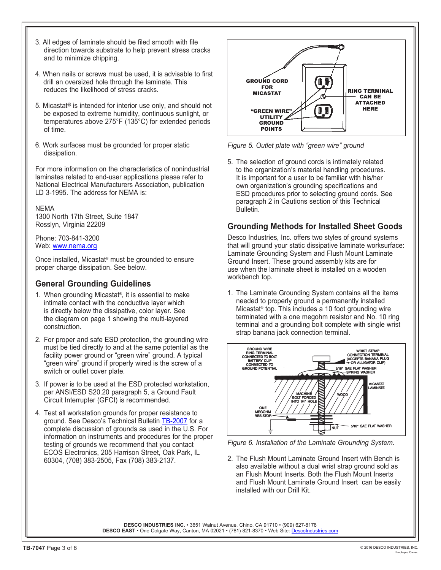- 3. All edges of laminate should be filed smooth with file direction towards substrate to help prevent stress cracks and to minimize chipping.
- 4. When nails or screws must be used, it is advisable to first drill an oversized hole through the laminate. This reduces the likelihood of stress cracks.
- 5. Micastat® is intended for interior use only, and should not be exposed to extreme humidity, continuous sunlight, or temperatures above 275°F (135°C) for extended periods of time.
- 6. Work surfaces must be grounded for proper static dissipation.

For more information on the characteristics of nonindustrial laminates related to end-user applications please refer to National Electrical Manufacturers Association, publication LD 3-1995. The address for NEMA is:

NEMA 1300 North 17th Street, Suite 1847 Rosslyn, Virginia 22209

Phone: 703-841-3200 Web: [www.nema.org](http://www.nema.org)

Once installed, Micastat® must be grounded to ensure proper charge dissipation. See below.

#### **General Grounding Guidelines**

- 1. When grounding Micastat®, it is essential to make intimate contact with the conductive layer which is directly below the dissipative, color layer. See the diagram on page 1 showing the multi-layered construction.
- 2. For proper and safe ESD protection, the grounding wire must be tied directly to and at the same potential as the facility power ground or "green wire" ground. A typical "green wire" ground if properly wired is the screw of a switch or outlet cover plate.
- 3. If power is to be used at the ESD protected workstation, per ANSI/ESD S20.20 paragraph 5, a Ground Fault Circuit Interrupter (GFCI) is recommended.
- 4. Test all workstation grounds for proper resistance to ground. See Desco's Technical Bulletin [TB-2007](http://documents.desco.com/pdf/TB-2007.pdf) for a complete discussion of grounds as used in the U.S. For information on instruments and procedures for the proper testing of grounds we recommend that you contact ECOS Electronics, 205 Harrison Street, Oak Park, IL 60304, (708) 383-2505, Fax (708) 383-2137.



*Figure 5. Outlet plate with "green wire" ground*

5. The selection of ground cords is intimately related to the organization's material handling procedures. It is important for a user to be familiar with his/her own organization's grounding specifications and ESD procedures prior to selecting ground cords. See paragraph 2 in Cautions section of this Technical Bulletin.

#### **Grounding Methods for Installed Sheet Goods**

Desco Industries, Inc. offers two styles of ground systems that will ground your static dissipative laminate worksurface: Laminate Grounding System and Flush Mount Laminate Ground Insert. These ground assembly kits are for use when the laminate sheet is installed on a wooden workbench top.

1. The Laminate Grounding System contains all the items needed to properly ground a permanently installed Micastat® top. This includes a 10 foot grounding wire terminated with a one megohm resistor and No. 10 ring terminal and a grounding bolt complete with single wrist strap banana jack connection terminal.



*Figure 6. Installation of the Laminate Grounding System.*

2. The Flush Mount Laminate Ground Insert with Bench is also available without a dual wrist strap ground sold as an Flush Mount Inserts. Both the Flush Mount Inserts and Flush Mount Laminate Ground Insert can be easily installed with our Drill Kit.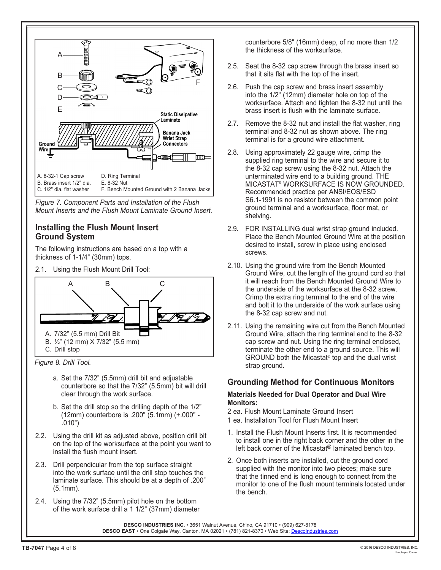

*Figure 7. Component Parts and Installation of the Flush Mount Inserts and the Flush Mount Laminate Ground Insert.*

#### **Installing the Flush Mount Insert Ground System**

The following instructions are based on a top with a thickness of 1-1/4" (30mm) tops.

2.1. Using the Flush Mount Drill Tool:



*Figure 8. Drill Tool.*

- a. Set the 7/32" (5.5mm) drill bit and adjustable counterbore so that the 7/32" (5.5mm) bit will drill clear through the work surface.
- b. Set the drill stop so the drilling depth of the 1/2" (12mm) counterbore is .200" (5.1mm) (+.000" - .010")
- 2.2. Using the drill kit as adjusted above, position drill bit on the top of the worksurface at the point you want to install the flush mount insert.
- 2.3. Drill perpendicular from the top surface straight into the work surface until the drill stop touches the laminate surface. This should be at a depth of .200" (5.1mm).
- 2.4. Using the 7/32" (5.5mm) pilot hole on the bottom of the work surface drill a 1 1/2" (37mm) diameter

counterbore 5/8" (16mm) deep, of no more than 1/2 the thickness of the worksurface.

- 2.5. Seat the 8-32 cap screw through the brass insert so that it sits flat with the top of the insert.
- 2.6. Push the cap screw and brass insert assembly into the 1/2" (12mm) diameter hole on top of the worksurface. Attach and tighten the 8-32 nut until the brass insert is flush with the laminate surface.
- 2.7. Remove the 8-32 nut and install the flat washer, ring terminal and 8-32 nut as shown above. The ring terminal is for a ground wire attachment.
- 2.8. Using approximately 22 gauge wire, crimp the supplied ring terminal to the wire and secure it to the 8-32 cap screw using the 8-32 nut. Attach the unterminated wire end to a building ground. THE MICASTAT® WORKSURFACE IS NOW GROUNDED. Recommended practice per ANSI/EOS/ESD S6.1-1991 is no resistor between the common point ground terminal and a worksurface, floor mat, or shelving.
- 2.9. FOR INSTALLING dual wrist strap ground included. Place the Bench Mounted Ground Wire at the position desired to install, screw in place using enclosed screws.
- 2.10. Using the ground wire from the Bench Mounted Ground Wire, cut the length of the ground cord so that it will reach from the Bench Mounted Ground Wire to the underside of the worksurface at the 8-32 screw. Crimp the extra ring terminal to the end of the wire and bolt it to the underside of the work surface using the 8-32 cap screw and nut.
- 2.11. Using the remaining wire cut from the Bench Mounted Ground Wire, attach the ring terminal end to the 8-32 cap screw and nut. Using the ring terminal enclosed, terminate the other end to a ground source. This will GROUND both the Micastat® top and the dual wrist strap ground.

#### **Grounding Method for Continuous Monitors**

#### **Materials Needed for Dual Operator and Dual Wire Monitors:**

- 2 ea. Flush Mount Laminate Ground Insert
- 1 ea. Installation Tool for Flush Mount Insert
- 1. Install the Flush Mount Inserts first. It is recommended to install one in the right back corner and the other in the left back corner of the Micastat® laminated bench top.
- 2. Once both inserts are installed, cut the ground cord supplied with the monitor into two pieces; make sure that the tinned end is long enough to connect from the monitor to one of the flush mount terminals located under the bench.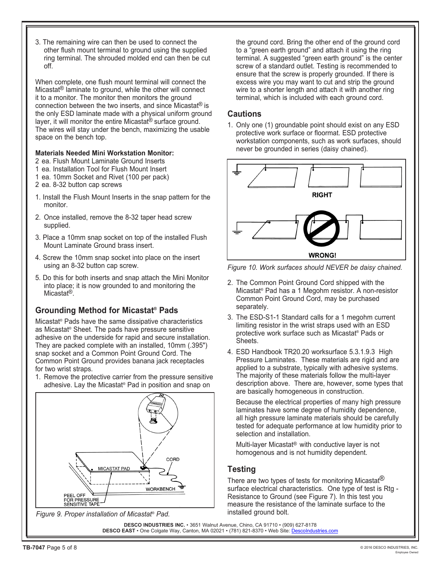3. The remaining wire can then be used to connect the other flush mount terminal to ground using the supplied ring terminal. The shrouded molded end can then be cut off.

When complete, one flush mount terminal will connect the Micastat® laminate to ground, while the other will connect it to a monitor. The monitor then monitors the ground connection between the two inserts, and since Micastat® is the only ESD laminate made with a physical uniform ground layer, it will monitor the entire Micastat<sup>®</sup> surface ground. The wires will stay under the bench, maximizing the usable space on the bench top.

#### **Materials Needed Mini Workstation Monitor:**

- 2 ea. Flush Mount Laminate Ground Inserts
- 1 ea. Installation Tool for Flush Mount Insert
- 1 ea. 10mm Socket and Rivet (100 per pack)
- 2 ea. 8-32 button cap screws
- 1. Install the Flush Mount Inserts in the snap pattern for the monitor.
- 2. Once installed, remove the 8-32 taper head screw supplied.
- 3. Place a 10mm snap socket on top of the installed Flush Mount Laminate Ground brass insert.
- 4. Screw the 10mm snap socket into place on the insert using an 8-32 button cap screw.
- 5. Do this for both inserts and snap attach the Mini Monitor into place; it is now grounded to and monitoring the Micastat®.

#### **Grounding Method for Micastat® Pads**

Micastat® Pads have the same dissipative characteristics as Micastat® Sheet. The pads have pressure sensitive adhesive on the underside for rapid and secure installation. They are packed complete with an installed, 10mm (.395") snap socket and a Common Point Ground Cord. The Common Point Ground provides banana jack receptacles for two wrist straps.

1. Remove the protective carrier from the pressure sensitive adhesive. Lay the Micastat® Pad in position and snap on





the ground cord. Bring the other end of the ground cord to a "green earth ground" and attach it using the ring terminal. A suggested "green earth ground" is the center screw of a standard outlet. Testing is recommended to ensure that the screw is properly grounded. If there is excess wire you may want to cut and strip the ground wire to a shorter length and attach it with another ring terminal, which is included with each ground cord.

#### **Cautions**

1. Only one (1) groundable point should exist on any ESD protective work surface or floormat. ESD protective workstation components, such as work surfaces, should never be grounded in series (daisy chained).



*Figure 10. Work surfaces should NEVER be daisy chained.*

- 2. The Common Point Ground Cord shipped with the Micastat® Pad has a 1 Megohm resistor. A non-resistor Common Point Ground Cord, may be purchased separately.
- 3. The ESD-S1-1 Standard calls for a 1 megohm current limiting resistor in the wrist straps used with an ESD protective work surface such as Micastat® Pads or **Sheets**
- 4. ESD Handbook TR20.20 worksurface 5.3.1.9.3 High Pressure Laminates. These materials are rigid and are applied to a substrate, typically with adhesive systems. The majority of these materials follow the multi-layer description above. There are, however, some types that are basically homogeneous in construction.

Because the electrical properties of many high pressure laminates have some degree of humidity dependence, all high pressure laminate materials should be carefully tested for adequate performance at low humidity prior to selection and installation.

Multi-layer Micastat® with conductive layer is not homogenous and is not humidity dependent.

#### **Testing**

There are two types of tests for monitoring Micastat<sup>(8)</sup> surface electrical characteristics. One type of test is Rtg - Resistance to Ground (see Figure 7). In this test you measure the resistance of the laminate surface to the installed ground bolt.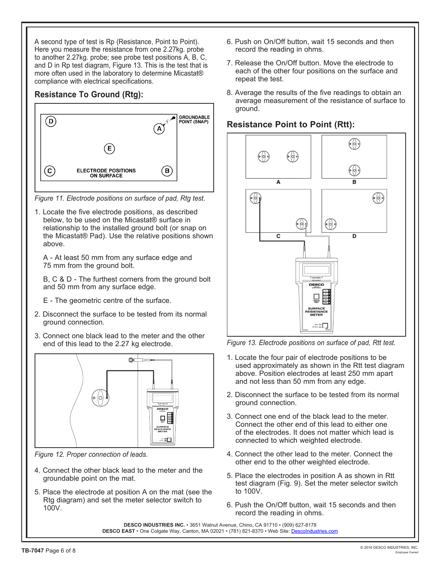A second type of test is Rp (Resistance, Point to Point). Here you measure the resistance from one 2.27kg. probe to another 2.27kg. probe; see probe test positions A, B, C, and D in Rp test diagram, Figure 13. This is the test that is more often used in the laboratory to determine Micastat® compliance with electrical specifications.

#### **Resistance To Ground (Rtg):**



*Figure 11. Electrode positions on surface of pad, Rtg test.*

1. Locate the five electrode positions, as described below, to be used on the Micastat® surface in relationship to the installed ground bolt (or snap on the Micastat® Pad). Use the relative positions shown above.

A - At least 50 mm from any surface edge and 75 mm from the ground bolt.

B, C & D - The furthest corners from the ground bolt and 50 mm from any surface edge.

- E The geometric centre of the surface.
- 2. Disconnect the surface to be tested from its normal ground connection.
- 3. Connect one black lead to the meter and the other end of this lead to the 2.27 kg electrode.



*Figure 12. Proper connection of leads.*

- 4. Connect the other black lead to the meter and the groundable point on the mat.
- 5. Place the electrode at position A on the mat (see the Rtg diagram) and set the meter selector switch to 100V.
- 6. Push on On/Off button, wait 15 seconds and then record the reading in ohms.
- 7. Release the On/Off button. Move the electrode to each of the other four positions on the surface and repeat the test.
- 8. Average the results of the five readings to obtain an average measurement of the resistance of surface to ground.

### **Resistance Point to Point (Rtt):**



*Figure 13. Electrode positions on surface of pad, Rtt test.*

- 1. Locate the four pair of electrode positions to be used approximately as shown in the Rtt test diagram above. Position electrodes at least 250 mm apart and not less than 50 mm from any edge.
- 2. Disconnect the surface to be tested from its normal ground connection.
- 3. Connect one end of the black lead to the meter. Connect the other end of this lead to either one of the electrodes. It does not matter which lead is connected to which weighted electrode.
- 4. Connect the other lead to the meter. Connect the other end to the other weighted electrode.
- 5. Place the electrodes in position A as shown in Rtt test diagram (Fig. 9). Set the meter selector switch to 100V.
- 6. Push the On/Off button, wait 15 seconds and then record the reading in ohms.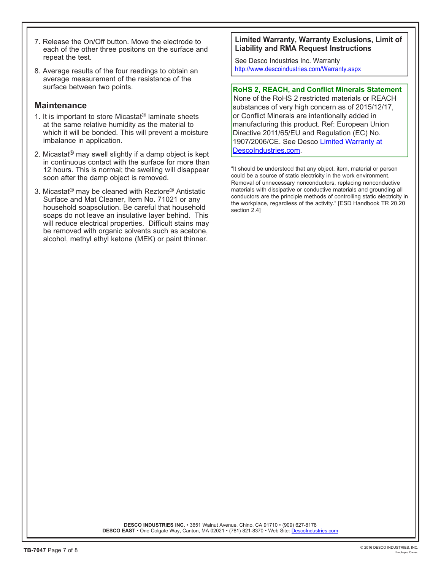- 7. Release the On/Off button. Move the electrode to each of the other three positons on the surface and repeat the test.
- 8. Average results of the four readings to obtain an average measurement of the resistance of the surface between two points.

#### **Maintenance**

- 1. It is important to store Micastat® laminate sheets at the same relative humidity as the material to which it will be bonded. This will prevent a moisture imbalance in application.
- 2. Micastat® may swell slightly if a damp object is kept in continuous contact with the surface for more than 12 hours. This is normal; the swelling will disappear soon after the damp object is removed.
- 3. Micastat® may be cleaned with Reztore® Antistatic Surface and Mat Cleaner, Item No. 71021 or any household soapsolution. Be careful that household soaps do not leave an insulative layer behind. This will reduce electrical properties. Difficult stains may be removed with organic solvents such as acetone, alcohol, methyl ethyl ketone (MEK) or paint thinner.

#### **Limited Warranty, Warranty Exclusions, Limit of Liability and RMA Request Instructions**

See Desco Industries Inc. Warranty <http://www.descoindustries.com/Warranty.aspx>

#### **RoHS 2, REACH, and Conflict Minerals Statement**

None of the RoHS 2 restricted materials or REACH substances of very high concern as of 2015/12/17, or Conflict Minerals are intentionally added in manufacturing this product. Ref: European Union Directive 2011/65/EU and Regulation (EC) No. 1907/2006/CE. See Desco Limited Warranty at [DescoIndustries.com.](http://www.descoindustries.com/Warranty.aspx)

"It should be understood that any object, item, material or person could be a source of static electricity in the work environment. Removal of unnecessary nonconductors, replacing nonconductive materials with dissipative or conductive materials and grounding all conductors are the principle methods of controlling static electricity in the workplace, regardless of the activity." [ESD Handbook TR 20.20 section 2.4]